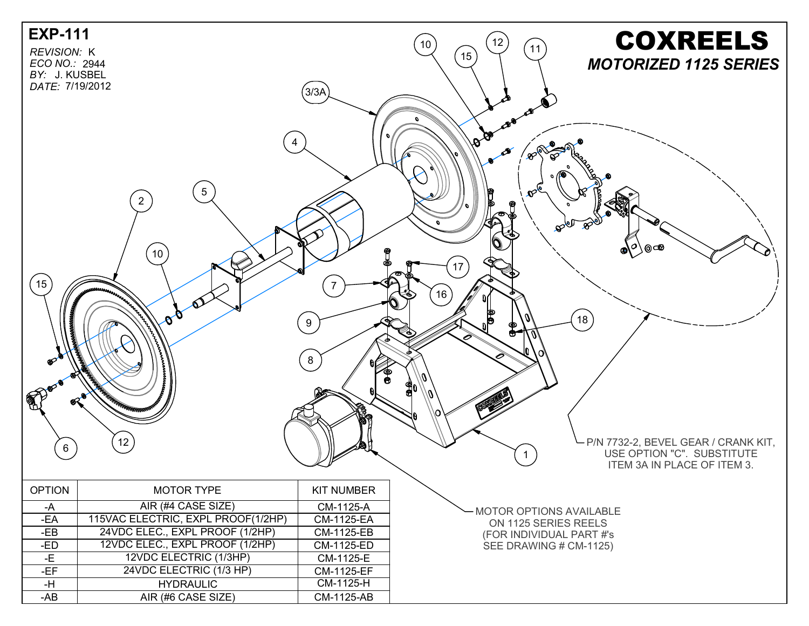